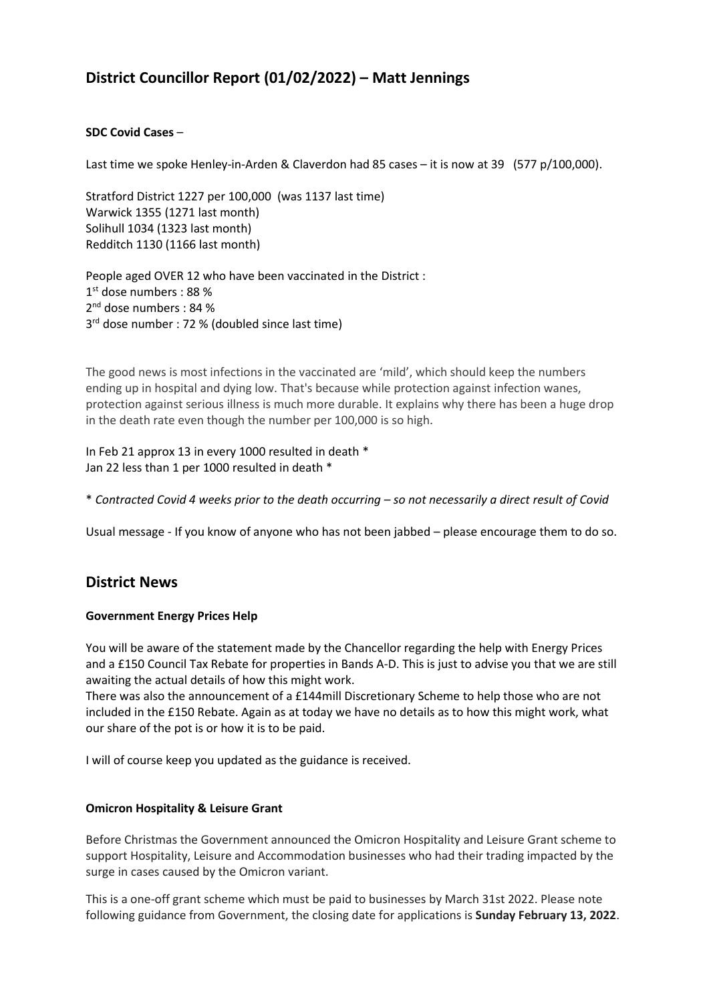# **District Councillor Report (01/02/2022) – Matt Jennings**

## **SDC Covid Cases** –

Last time we spoke Henley-in-Arden & Claverdon had 85 cases – it is now at 39 (577 p/100,000).

Stratford District 1227 per 100,000 (was 1137 last time) Warwick 1355 (1271 last month) Solihull 1034 (1323 last month) Redditch 1130 (1166 last month)

People aged OVER 12 who have been vaccinated in the District : 1 st dose numbers : 88 % 2<sup>nd</sup> dose numbers : 84 % 3 rd dose number : 72 % (doubled since last time)

The good news is most infections in the vaccinated are 'mild', which should keep the numbers ending up in hospital and dying low. That's because while protection against infection wanes, protection against serious illness is much more durable. It explains why there has been a huge drop in the death rate even though the number per 100,000 is so high.

In Feb 21 approx 13 in every 1000 resulted in death \* Jan 22 less than 1 per 1000 resulted in death \*

\* *Contracted Covid 4 weeks prior to the death occurring – so not necessarily a direct result of Covid*

Usual message - If you know of anyone who has not been jabbed – please encourage them to do so.

## **District News**

## **Government Energy Prices Help**

You will be aware of the statement made by the Chancellor regarding the help with Energy Prices and a £150 Council Tax Rebate for properties in Bands A-D. This is just to advise you that we are still awaiting the actual details of how this might work.

There was also the announcement of a £144mill Discretionary Scheme to help those who are not included in the £150 Rebate. Again as at today we have no details as to how this might work, what our share of the pot is or how it is to be paid.

I will of course keep you updated as the guidance is received.

## **Omicron Hospitality & Leisure Grant**

Before Christmas the Government announced the Omicron Hospitality and Leisure Grant scheme to support Hospitality, Leisure and Accommodation businesses who had their trading impacted by the surge in cases caused by the Omicron variant.

This is a one-off grant scheme which must be paid to businesses by March 31st 2022. Please note following guidance from Government, the closing date for applications is **Sunday February 13, 2022**.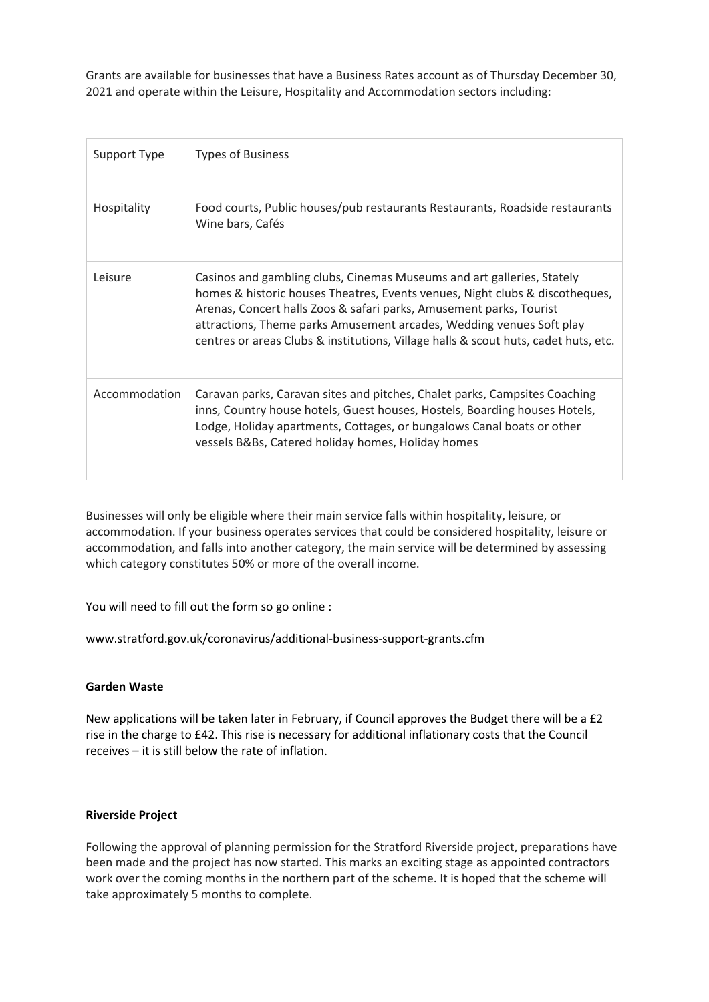Grants are available for businesses that have a Business Rates account as of Thursday December 30, 2021 and operate within the Leisure, Hospitality and Accommodation sectors including:

| Support Type  | <b>Types of Business</b>                                                                                                                                                                                                                                                                                                                                                                     |
|---------------|----------------------------------------------------------------------------------------------------------------------------------------------------------------------------------------------------------------------------------------------------------------------------------------------------------------------------------------------------------------------------------------------|
| Hospitality   | Food courts, Public houses/pub restaurants Restaurants, Roadside restaurants<br>Wine bars, Cafés                                                                                                                                                                                                                                                                                             |
| Leisure       | Casinos and gambling clubs, Cinemas Museums and art galleries, Stately<br>homes & historic houses Theatres, Events venues, Night clubs & discotheques,<br>Arenas, Concert halls Zoos & safari parks, Amusement parks, Tourist<br>attractions, Theme parks Amusement arcades, Wedding venues Soft play<br>centres or areas Clubs & institutions, Village halls & scout huts, cadet huts, etc. |
| Accommodation | Caravan parks, Caravan sites and pitches, Chalet parks, Campsites Coaching<br>inns, Country house hotels, Guest houses, Hostels, Boarding houses Hotels,<br>Lodge, Holiday apartments, Cottages, or bungalows Canal boats or other<br>vessels B&Bs, Catered holiday homes, Holiday homes                                                                                                     |

Businesses will only be eligible where their main service falls within hospitality, leisure, or accommodation. If your business operates services that could be considered hospitality, leisure or accommodation, and falls into another category, the main service will be determined by assessing which category constitutes 50% or more of the overall income.

You will need to fill out the form so go online :

www.stratford.gov.uk/coronavirus/additional-business-support-grants.cfm

## **Garden Waste**

New applications will be taken later in February, if Council approves the Budget there will be a £2 rise in the charge to £42. This rise is necessary for additional inflationary costs that the Council receives – it is still below the rate of inflation.

## **Riverside Project**

Following the approval of planning permission for the Stratford Riverside project, preparations have been made and the project has now started. This marks an exciting stage as appointed contractors work over the coming months in the northern part of the scheme. It is hoped that the scheme will take approximately 5 months to complete.